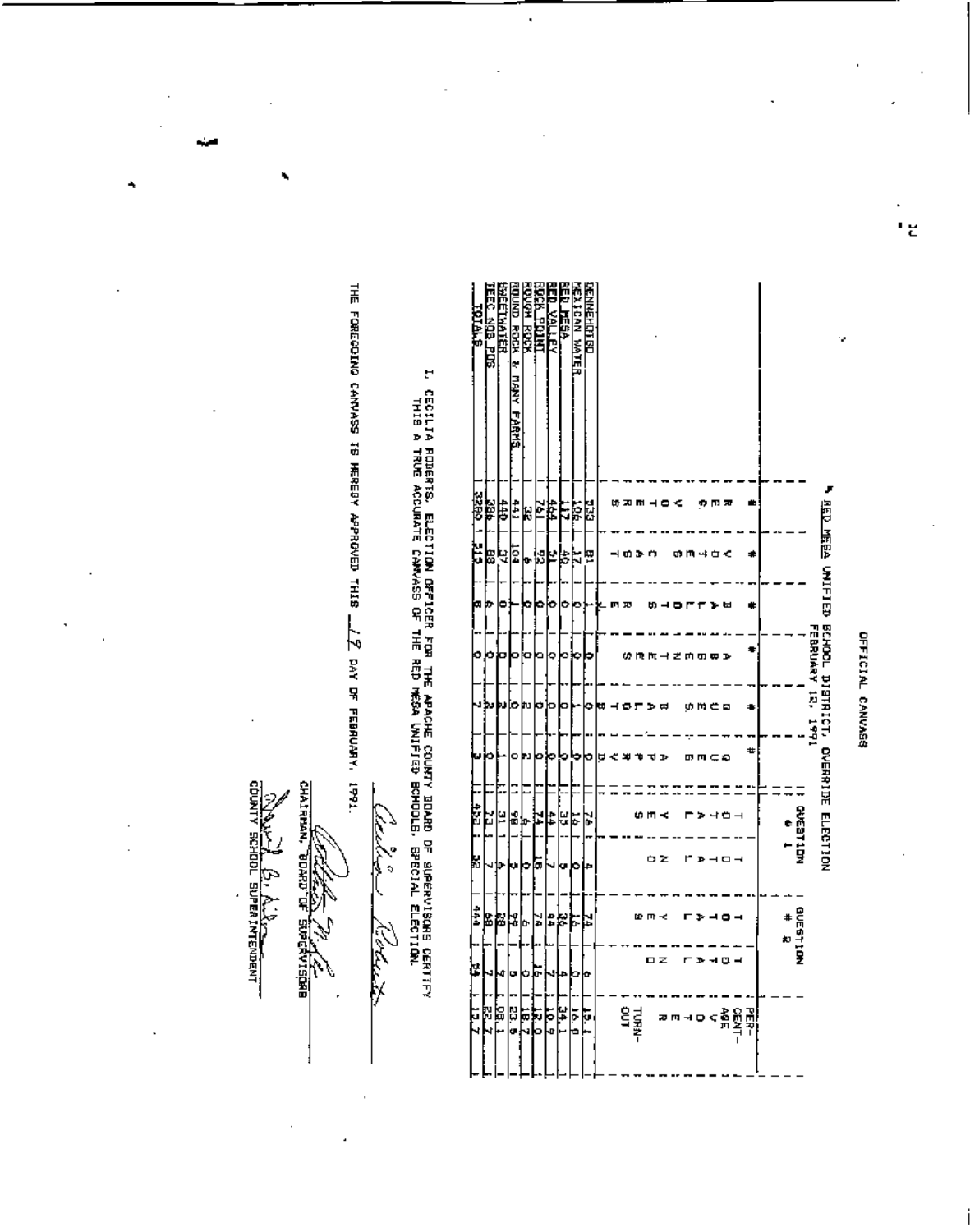OFFICIAL CANVASS

|                                     | <b>RED MEEA UNIFIED BCHOOL DISTRICT, OVERRIDE ELECTION</b> |               |    |    | FEBRUARY 12, 1991 |      |      |   |                      |     |               |    |                                                  |  |
|-------------------------------------|------------------------------------------------------------|---------------|----|----|-------------------|------|------|---|----------------------|-----|---------------|----|--------------------------------------------------|--|
|                                     |                                                            |               |    |    |                   |      |      |   | .<br>MCC311DM<br>MCC |     |               |    |                                                  |  |
|                                     |                                                            |               |    |    |                   |      |      |   |                      |     | auterion<br># |    |                                                  |  |
|                                     |                                                            |               |    |    |                   |      |      |   |                      |     |               |    |                                                  |  |
|                                     |                                                            | ≠             |    |    |                   |      | #    |   |                      |     |               |    |                                                  |  |
|                                     |                                                            |               |    |    |                   |      |      |   |                      |     |               |    | $<$ $\frac{5000}{\pi}$<br>$=$ $\frac{1000}{\pi}$ |  |
|                                     | 而见                                                         |               |    |    |                   |      |      |   | コロー                  | ם ו | ۰.            | ᇻ  |                                                  |  |
|                                     |                                                            | ≯ ن≮          |    |    |                   |      | າເລ  |   |                      |     |               |    |                                                  |  |
|                                     |                                                            |               |    |    |                   | いやこロ |      |   | ъ                    |     |               |    |                                                  |  |
|                                     |                                                            |               |    |    |                   |      |      |   |                      |     |               |    |                                                  |  |
|                                     |                                                            |               |    |    | キざ め の 声 る        |      |      |   |                      |     |               |    | 20 M - 1 D                                       |  |
|                                     |                                                            |               |    |    |                   | ᆷ    |      |   |                      | ΦZ  |               |    |                                                  |  |
|                                     |                                                            |               |    |    | m m -             |      |      |   |                      |     |               | ㅁ౽ |                                                  |  |
|                                     | យ្គត                                                       |               |    |    |                   |      |      |   |                      |     |               |    | <b>TURN-</b>                                     |  |
|                                     |                                                            | ຫວ            |    | mю | ω                 |      |      |   |                      |     |               |    |                                                  |  |
|                                     |                                                            |               |    |    |                   |      | ≪ 30 |   |                      |     |               |    |                                                  |  |
|                                     |                                                            |               |    |    |                   | ф    | а    |   |                      |     |               |    |                                                  |  |
| <b>DEMARHISTIC</b>                  | 녆                                                          | 뼘             |    |    |                   |      | ٥    |   | ķ                    |     |               | ۰  | F                                                |  |
| <b>TEXICAN WATER</b>                | Ş                                                          | ħ             |    | o  | ٥                 |      | ۰    |   | 忘                    |     |               | ີ  |                                                  |  |
| にいしはいか……                            | Ę                                                          | þ             |    | Ф  | э                 |      | э    |   | ¥                    |     | 85            |    | $\frac{16-1}{24}$                                |  |
| Ĩ<br><b>YALLEY</b>                  | Ë                                                          | Ł             |    | о  | ٥                 |      |      |   | #                    | J   | e4            |    | Þ<br>Ø                                           |  |
| <b>THEFT YES</b>                    | L                                                          | ļ,            |    |    | ב                 | J    |      |   |                      | ľω  | ¥             | o  | i<br>G                                           |  |
| <b>ROOM</b> ROOM                    | k                                                          |               | ņ. |    |                   | 'nз  | u    |   | Ф.                   | ۰   | b.            | Ò  | Į                                                |  |
| ROUND ROCK &<br>尾麦<br><u>Edstri</u> | $\ddot{ }$                                                 | $\frac{1}{2}$ |    |    |                   | ю    | ۰    | Ξ | 횖                    |     | J             | u  | ដូ<br>ð                                          |  |
| <b>WEETHATER</b>                    | 븅                                                          | Ч             |    | ۰  |                   | υ    |      |   | ¥                    | ው   | β             | đ  | ה<br>קב                                          |  |
| 303 POS                             | ě                                                          | 88            |    | ŋ, |                   | w    |      | ÷ | 23                   |     | Ł             |    | ŀ.<br>4                                          |  |
| <b>CLALE</b>                        | 3280                                                       | ţ             |    | ω  | ٥                 |      | IJ   |   | 432.                 | X   | ŧ             | ķ  | Ģ                                                |  |

سينكنط

Kolath

THE FORECOING CANNASS TS MEREDY APPROVED THIS  $\underline{\phantom{a}}\underline{\phantom{a}}\underline{\phantom{a}}$  day of February, 1991.

**BALLA** BILLE

.

**CHAIRMAN,** 

**SUPERVISORE** 

 $\ddot{\phantom{0}}$ 

î,

٠

I, CECILIA ROBERTS, ELECTION OFFICER FOR FOR APACHE COURTY BOARD OF SUPERVISQAG CERTIFY<br>THIS A TRUE ACCURATE CAMVASS OF THE RED WOIRS COURTY BOADOLS, GRECIAL ELECTION.

ï

ιg

Ŷ,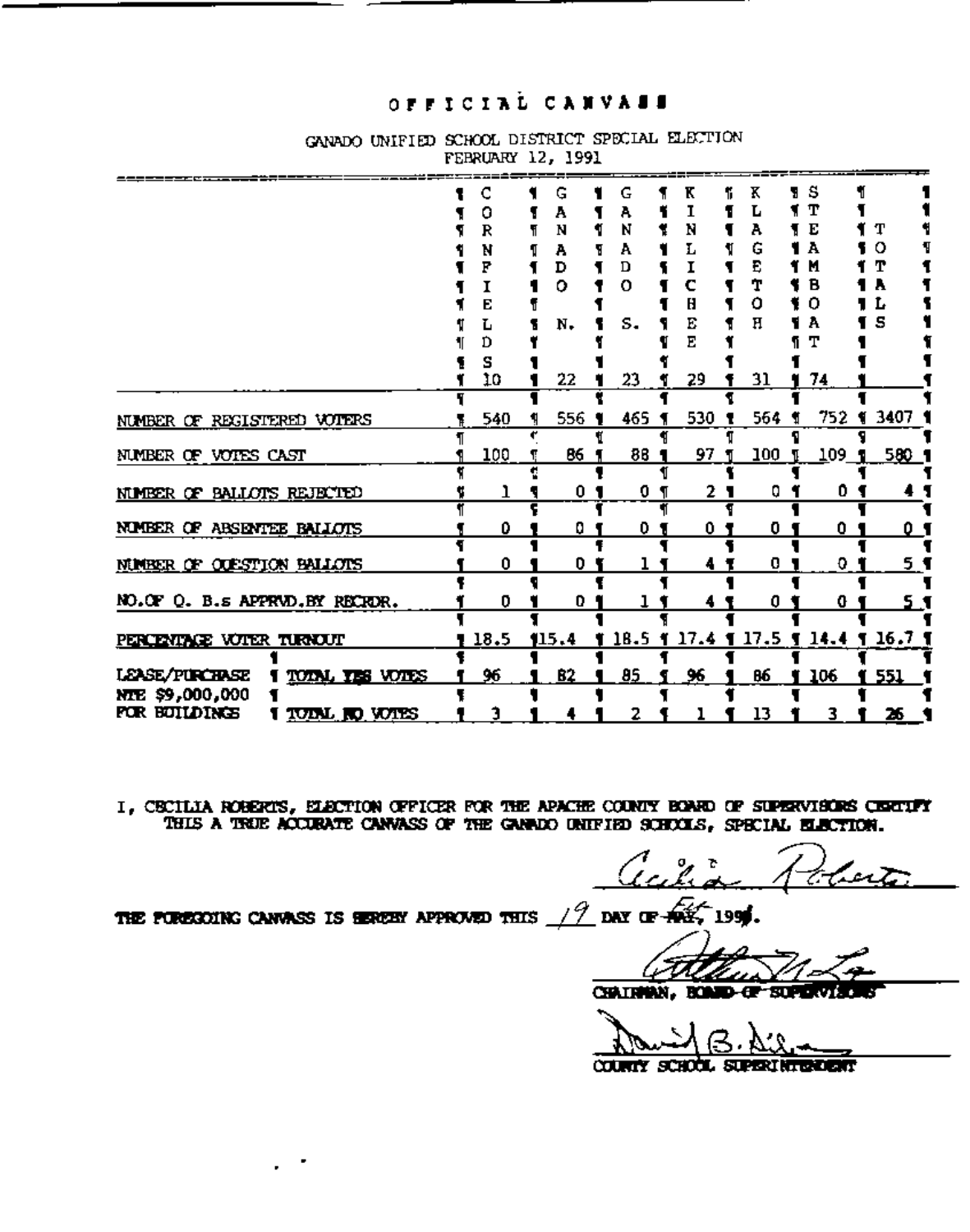## OFFICIAL CANVALL

|                                                                                         | о<br>R<br>N<br>F<br>1  | G<br>A<br>N<br>А<br>D<br>ο | G<br>Α<br>N<br>А<br>D<br>O | K<br>N<br>L<br>c  | Κ<br>А<br>G<br>E<br>т<br>о | s<br>т<br>E<br>А<br>М<br>в<br>0    | т<br>o<br>т<br>A<br>Ŀ |
|-----------------------------------------------------------------------------------------|------------------------|----------------------------|----------------------------|-------------------|----------------------------|------------------------------------|-----------------------|
|                                                                                         | E<br>L<br>Ď<br>s<br>10 | N.<br>22                   | s.<br>23                   | Η<br>Е<br>Ε<br>29 | н<br>31                    | A<br>т<br>74                       | s                     |
| NUMBER OF REGISTERED VOTERS                                                             | 540                    | 556                        | 465                        | 530               | 564                        | 752 1                              | 3407 1                |
| NUMBER OF VOTES CAST<br><u>NIMBER OF BALLOTS REJECTED</u>                               | 100<br>٦               | 86<br>0 <sub>1</sub>       | 86<br>0                    | 97<br>21          | 100<br>0                   | 109<br>0                           | 580 1                 |
| NUMBER OF ABSENTEE BALLOTS                                                              | 0                      | 0                          | 0                          | 0                 | 0                          | 0                                  | 0'                    |
| <u>NIMBER OF OUESTION BALLOTS</u><br>NO.OF Q. B.s APPRVD.BY RECROR.                     | 0<br>0                 | 0<br>0                     |                            | 4                 | 0<br>0                     | 0.<br>0                            | <u>5 1</u><br>5,1     |
| <u>PERCENTAGE VOTER TURNOUT</u>                                                         | 18.5                   | 115.4                      |                            |                   |                            | 18.5 1 17.4 1 17.5 1 14.4 1 16.7 1 |                       |
| LEASE/PURCHASE<br>TOTAL TES VOTES<br>nte \$9,000,000<br>for Buildings<br>TUINL NO VUIES | 96<br>1                | 82                         | 85<br>2                    | 96                | 86<br>13                   | 106<br>3                           | 551<br>26             |

GANADO UNIFIED SCHOOL DISTRICT SPECIAL ELECTION **FEBRUARY 12. 1991** 

I, CECILIA ROBERIS, ELECTION OFFICER FOR THE APACHE COUNTY BONE OF SUPERVISORS CENTIFY THIS A TRUE ACCURATE CANNASS OF THE GANADO UNIFIED SCHOOLS, SPECIAL ELECTION.

 $\frac{1}{2}$  day of  $\frac{1}{2}$ THE PURESOUNG CANVASS IS HEREBY APPROVED THIS 199

رىر

CHAINMAN. ROMED-OF-SUPERVIS

**COUNTY** ला का प STATE STREET